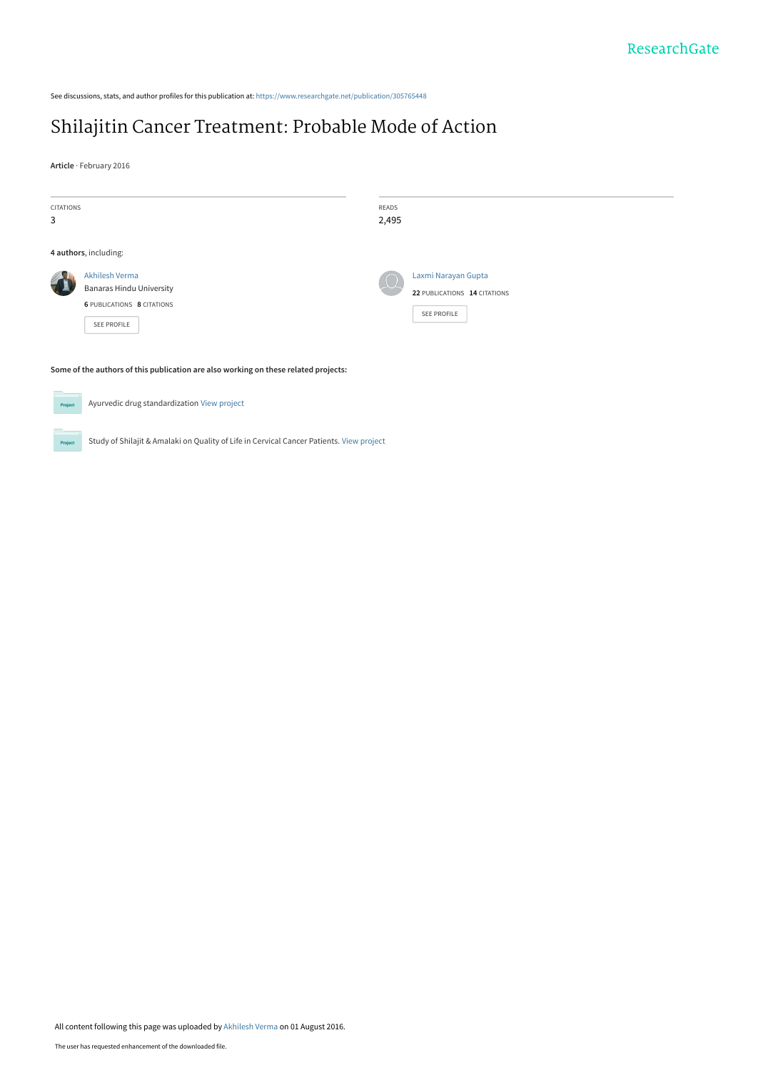See discussions, stats, and author profiles for this publication at: [https://www.researchgate.net/publication/305765448](https://www.researchgate.net/publication/305765448_Shilajitin_Cancer_Treatment_Probable_Mode_of_Action?enrichId=rgreq-ef67b3eff0b86f4b7a9b4b62dd2ac76d-XXX&enrichSource=Y292ZXJQYWdlOzMwNTc2NTQ0ODtBUzozOTAzMDUxNTQxMjU4MjdAMTQ3MDA2NzQwODc5NA%3D%3D&el=1_x_2&_esc=publicationCoverPdf)

# [Shilajitin Cancer Treatment: Probable Mode of Action](https://www.researchgate.net/publication/305765448_Shilajitin_Cancer_Treatment_Probable_Mode_of_Action?enrichId=rgreq-ef67b3eff0b86f4b7a9b4b62dd2ac76d-XXX&enrichSource=Y292ZXJQYWdlOzMwNTc2NTQ0ODtBUzozOTAzMDUxNTQxMjU4MjdAMTQ3MDA2NzQwODc5NA%3D%3D&el=1_x_3&_esc=publicationCoverPdf)

**Article** · February 2016

| <b>CITATIONS</b><br>3                                                                                                             |                                                                                                | READS<br>2,495 |                                                                    |
|-----------------------------------------------------------------------------------------------------------------------------------|------------------------------------------------------------------------------------------------|----------------|--------------------------------------------------------------------|
| 4 authors, including:                                                                                                             |                                                                                                |                |                                                                    |
|                                                                                                                                   | Akhilesh Verma<br><b>Banaras Hindu University</b><br>6 PUBLICATIONS 8 CITATIONS<br>SEE PROFILE |                | Laxmi Narayan Gupta<br>22 PUBLICATIONS 14 CITATIONS<br>SEE PROFILE |
| Some of the authors of this publication are also working on these related projects:<br><b>Contract Contract Contract Contract</b> |                                                                                                |                |                                                                    |



**Project** 

Study of Shilajit & Amalaki on Quality of Life in Cervical Cancer Patients. [View project](https://www.researchgate.net/project/Study-of-Shilajit-Amalaki-on-Quality-of-Life-in-Cervical-Cancer-Patients?enrichId=rgreq-ef67b3eff0b86f4b7a9b4b62dd2ac76d-XXX&enrichSource=Y292ZXJQYWdlOzMwNTc2NTQ0ODtBUzozOTAzMDUxNTQxMjU4MjdAMTQ3MDA2NzQwODc5NA%3D%3D&el=1_x_9&_esc=publicationCoverPdf)

Ayurvedic drug standardization [View project](https://www.researchgate.net/project/Ayurvedic-drug-standardization?enrichId=rgreq-ef67b3eff0b86f4b7a9b4b62dd2ac76d-XXX&enrichSource=Y292ZXJQYWdlOzMwNTc2NTQ0ODtBUzozOTAzMDUxNTQxMjU4MjdAMTQ3MDA2NzQwODc5NA%3D%3D&el=1_x_9&_esc=publicationCoverPdf)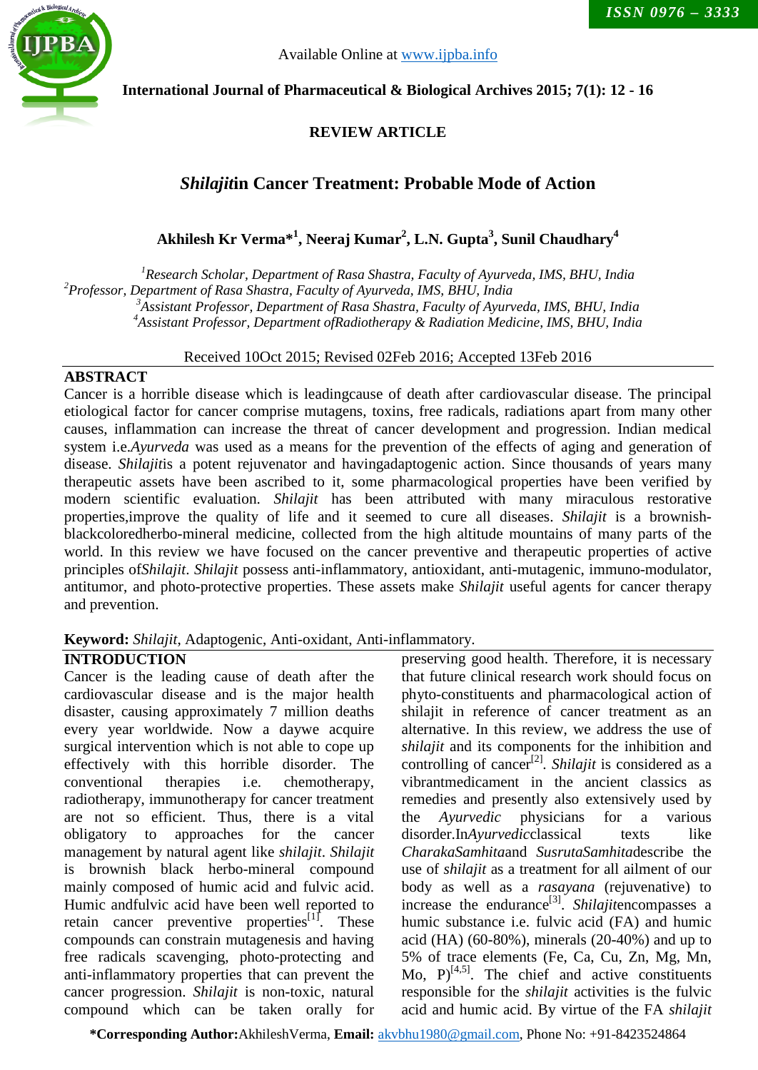

Available Online at [www.ijpba.info](http://www.ijpba.info/)

### **International Journal of Pharmaceutical & Biological Archives 2015; 7(1): 12 - 16**

## **REVIEW ARTICLE**

## *Shilajit***in Cancer Treatment: Probable Mode of Action**

**Akhilesh Kr Verma\*<sup>1</sup> , Neeraj Kumar2 , L.N. Gupta3 , Sunil Chaudhary4**

 *Research Scholar, Department of Rasa Shastra, Faculty of Ayurveda, IMS, BHU, India Professor, Department of Rasa Shastra, Faculty of Ayurveda, IMS, BHU, India Assistant Professor, Department of Rasa Shastra, Faculty of Ayurveda, IMS, BHU, India Assistant Professor, Department ofRadiotherapy & Radiation Medicine, IMS, BHU, India*

Received 10Oct 2015; Revised 02Feb 2016; Accepted 13Feb 2016

#### **ABSTRACT**

Cancer is a horrible disease which is leadingcause of death after cardiovascular disease. The principal etiological factor for cancer comprise mutagens, toxins, free radicals, radiations apart from many other causes, inflammation can increase the threat of cancer development and progression. Indian medical system i.e.*Ayurveda* was used as a means for the prevention of the effects of aging and generation of disease. *Shilajit*is a potent rejuvenator and havingadaptogenic action. Since thousands of years many therapeutic assets have been ascribed to it, some pharmacological properties have been verified by modern scientific evaluation. *Shilajit* has been attributed with many miraculous restorative properties,improve the quality of life and it seemed to cure all diseases. *Shilajit* is a brownishblackcoloredherbo-mineral medicine, collected from the high altitude mountains of many parts of the world. In this review we have focused on the cancer preventive and therapeutic properties of active principles of*Shilajit*. *Shilajit* possess anti-inflammatory, antioxidant, anti-mutagenic, immuno-modulator, antitumor, and photo-protective properties. These assets make *Shilajit* useful agents for cancer therapy and prevention.

**Keyword:** *Shilajit*, Adaptogenic, Anti-oxidant, Anti-inflammatory.

#### **INTRODUCTION**

Cancer is the leading cause of death after the cardiovascular disease and is the major health disaster, causing approximately 7 million deaths every year worldwide. Now a daywe acquire surgical intervention which is not able to cope up effectively with this horrible disorder. The conventional therapies i.e. chemotherapy, radiotherapy, immunotherapy for cancer treatment are not so efficient. Thus, there is a vital obligatory to approaches for the cancer management by natural agent like *shilajit*. *Shilajit* is brownish black herbo-mineral compound mainly composed of humic acid and fulvic acid. Humic andfulvic acid have been well reported to retain cancer preventive properties $[1]$ . These compounds can constrain mutagenesis and having free radicals scavenging, photo-protecting and anti-inflammatory properties that can prevent the cancer progression. *Shilajit* is non-toxic, natural compound which can be taken orally for

preserving good health. Therefore, it is necessary that future clinical research work should focus on phyto-constituents and pharmacological action of shilajit in reference of cancer treatment as an alternative. In this review, we address the use of *shilajit* and its components for the inhibition and controlling of cancer[2]*. Shilajit* is considered as a vibrantmedicament in the ancient classics as remedies and presently also extensively used by the *Ayurvedic* physicians for a various disorder.In*Ayurvedic*classical texts like *CharakaSamhita*and *SusrutaSamhita*describe the use of *shilajit* as a treatment for all ailment of our body as well as a *rasayana* (rejuvenative) to increase the endurance<sup>[3]</sup>. *Shilajitencompasses a* humic substance i.e. fulvic acid (FA) and humic acid (HA) (60-80%), minerals (20-40%) and up to 5% of trace elements (Fe, Ca, Cu, Zn, Mg, Mn, Mo,  $P$ <sup>[4,5]</sup>. The chief and active constituents responsible for the *shilajit* activities is the fulvic acid and humic acid. By virtue of the FA *shilajit*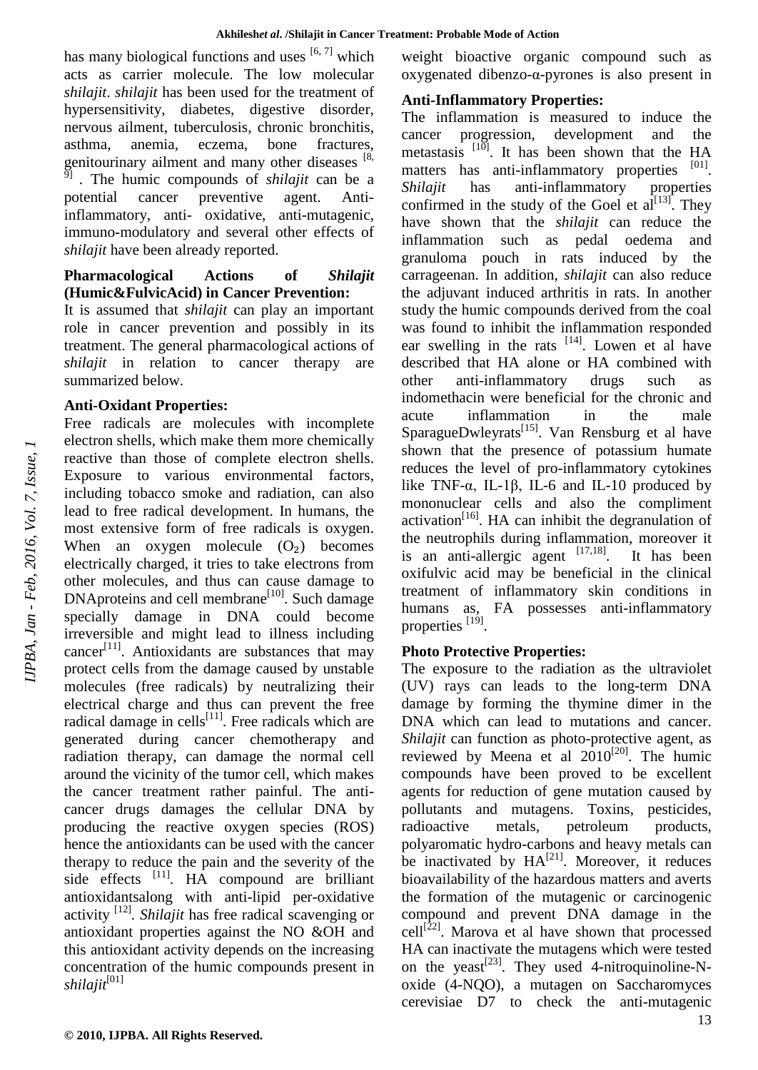has many biological functions and uses  $[6, 7]$  which acts as carrier molecule. The low molecular *shilajit*. *shilajit* has been used for the treatment of hypersensitivity, diabetes, digestive disorder, nervous ailment, tuberculosis, chronic bronchitis, asthma, anemia, eczema, bone fractures, genitourinary ailment and many other diseases  $[8, 8]$ 9] . The humic compounds of *shilajit* can be a potential cancer preventive agent. Antiinflammatory, anti- oxidative, anti-mutagenic, immuno-modulatory and several other effects of *shilajit* have been already reported.

#### **Pharmacological Actions of** *Shilajit* **(Humic&FulvicAcid) in Cancer Prevention:**

It is assumed that *shilajit* can play an important role in cancer prevention and possibly in its treatment. The general pharmacological actions of *shilajit* in relation to cancer therapy are summarized below.

#### **Anti-Oxidant Properties:**

Free radicals are molecules with incomplete electron shells, which make them more chemically reactive than those of complete electron shells. Exposure to various environmental factors, including tobacco smoke and radiation, can also lead to free radical development. In humans, the most extensive form of free radicals is oxygen. When an oxygen molecule  $(O_2)$  becomes electrically charged, it tries to take electrons from other molecules, and thus can cause damage to DNAproteins and cell membrane<sup>[10]</sup>. Such damage specially damage in DNA could become irreversible and might lead to illness including cancer<sup>[11]</sup>. Antioxidants are substances that may protect cells from the damage caused by unstable molecules (free radicals) by neutralizing their electrical charge and thus can prevent the free radical damage in cells<sup>[11]</sup>. Free radicals which are generated during cancer chemotherapy and radiation therapy, can damage the normal cell around the vicinity of the tumor cell, which makes the cancer treatment rather painful. The anticancer drugs damages the cellular DNA by producing the reactive oxygen species (ROS) hence the antioxidants can be used with the cancer therapy to reduce the pain and the severity of the side effects  $[11]$ . HA compound are brilliant antioxidantsalong with anti-lipid per-oxidative activity [12]*. Shilajit* has free radical scavenging or antioxidant properties against the NO &OH and this antioxidant activity depends on the increasing concentration of the humic compounds present in *shilajit*[01]

weight bioactive organic compound such as oxygenated dibenzo-α-pyrones is also present in

#### **Anti-Inflammatory Properties:**

The inflammation is measured to induce the cancer progression, development and the metastasis  $[10]$ . It has been shown that the HA matters has anti-inflammatory properties [01]. *Shilajit* has anti-inflammatory properties confirmed in the study of the Goel et  $a^{[13]}$ . They have shown that the *shilajit* can reduce the inflammation such as pedal oedema and granuloma pouch in rats induced by the carrageenan. In addition, *shilajit* can also reduce the adjuvant induced arthritis in rats. In another study the humic compounds derived from the coal was found to inhibit the inflammation responded ear swelling in the rats  $[14]$ . Lowen et al have described that HA alone or HA combined with other anti-inflammatory drugs such as indomethacin were beneficial for the chronic and acute inflammation in the male SparagueDwleyrats<sup>[15]</sup>. Van Rensburg et al have shown that the presence of potassium humate reduces the level of pro-inflammatory cytokines like TNF-α, IL-1β, IL-6 and IL-10 produced by mononuclear cells and also the compliment activation<sup>[16]</sup>. HA can inhibit the degranulation of the neutrophils during inflammation, moreover it is an anti-allergic agent  $[17,18]$ . . It has been oxifulvic acid may be beneficial in the clinical treatment of inflammatory skin conditions in humans as, FA possesses anti-inflammatory properties [19].

#### **Photo Protective Properties:**

The exposure to the radiation as the ultraviolet (UV) rays can leads to the long-term DNA damage by forming the thymine dimer in the DNA which can lead to mutations and cancer. *Shilajit* can function as photo-protective agent, as reviewed by Meena et al  $2010^{[20]}$ . The humic compounds have been proved to be excellent agents for reduction of gene mutation caused by pollutants and mutagens. Toxins, pesticides, radioactive metals, petroleum products, polyaromatic hydro-carbons and heavy metals can be inactivated by  $HA^{[21]}$ . Moreover, it reduces bioavailability of the hazardous matters and averts the formation of the mutagenic or carcinogenic compound and prevent DNA damage in the  $cell^{[22]}$ . Marova et al have shown that processed HA can inactivate the mutagens which were tested on the yeast<sup>[23]</sup>. They used 4-nitroquinoline-Noxide (4-NQO), a mutagen on Saccharomyces cerevisiae D7 to check the anti-mutagenic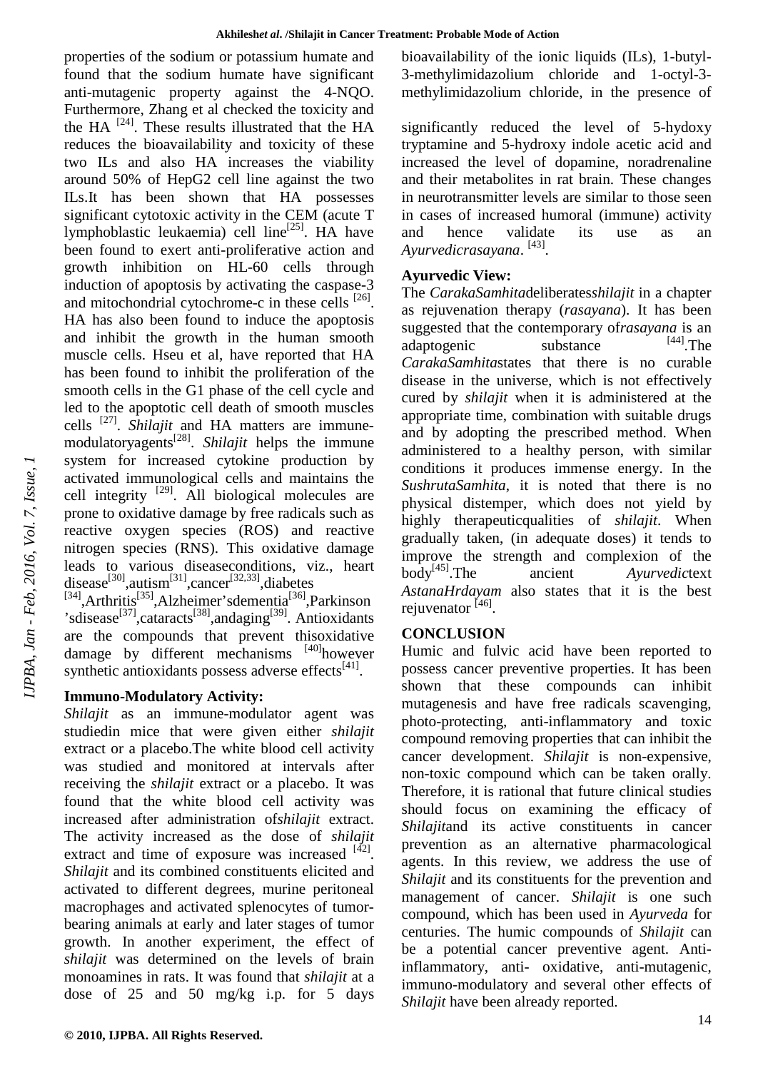properties of the sodium or potassium humate and found that the sodium humate have significant anti-mutagenic property against the 4-NQO. Furthermore, Zhang et al checked the toxicity and the HA  $^{[24]}$ . These results illustrated that the HA reduces the bioavailability and toxicity of these two ILs and also HA increases the viability around 50% of HepG2 cell line against the two ILs.It has been shown that HA possesses significant cytotoxic activity in the CEM (acute T lymphoblastic leukaemia) cell line<sup>[25]</sup>. HA have been found to exert anti-proliferative action and growth inhibition on HL-60 cells through induction of apoptosis by activating the caspase-3 and mitochondrial cytochrome-c in these cells <sup>[26]</sup>. HA has also been found to induce the apoptosis and inhibit the growth in the human smooth muscle cells. Hseu et al, have reported that HA has been found to inhibit the proliferation of the smooth cells in the G1 phase of the cell cycle and led to the apoptotic cell death of smooth muscles cells [27] . *Shilajit* and HA matters are immunemodulatoryagents[28] . *Shilajit* helps the immune system for increased cytokine production by activated immunological cells and maintains the cell integrity  $[29]$ . All biological molecules are prone to oxidative damage by free radicals such as reactive oxygen species (ROS) and reactive nitrogen species (RNS). This oxidative damage leads to various diseaseconditions, viz., heart disease<sup>[30]</sup>,autism<sup>[31]</sup>,cancer<sup>[32,33]</sup>,diabetes<br><sup>[34]</sup>,Arthritis<sup>[35]</sup>,Alzheimer'sdementia<sup>[36]</sup>,Parkinson

'sdisease<sup>[37]</sup>,cataracts<sup>[38]</sup>,andaging<sup>[39]</sup>. Antioxidants are the compounds that prevent thisoxidative damage by different mechanisms [40] however synthetic antioxidants possess adverse effects $[41]$ .

## **Immuno-Modulatory Activity:**

*Shilajit* as an immune-modulator agent was studiedin mice that were given either *shilajit* extract or a placebo.The white blood cell activity was studied and monitored at intervals after receiving the *shilajit* extract or a placebo. It was found that the white blood cell activity was increased after administration of*shilajit* extract. The activity increased as the dose of *shilajit* extract and time of exposure was increased  $[42]$ . *Shilajit* and its combined constituents elicited and activated to different degrees, murine peritoneal macrophages and activated splenocytes of tumorbearing animals at early and later stages of tumor growth. In another experiment, the effect of *shilajit* was determined on the levels of brain monoamines in rats. It was found that *shilajit* at a dose of 25 and 50 mg/kg i.p. for 5 days

bioavailability of the ionic liquids (ILs), 1-butyl-3-methylimidazolium chloride and 1-octyl-3 methylimidazolium chloride, in the presence of

significantly reduced the level of 5-hydoxy tryptamine and 5-hydroxy indole acetic acid and increased the level of dopamine, noradrenaline and their metabolites in rat brain. These changes in neurotransmitter levels are similar to those seen in cases of increased humoral (immune) activity and hence validate its use as an *Ayurvedicrasayana*. [43] .

## **Ayurvedic View:**

The *CarakaSamhita*deliberates*shilajit* in a chapter as rejuvenation therapy (*rasayana*). It has been suggested that the contemporary of*rasayana* is an adaptogenic substance  $^{[44]}$ . The *CarakaSamhita*states that there is no curable disease in the universe, which is not effectively cured by *shilajit* when it is administered at the appropriate time, combination with suitable drugs and by adopting the prescribed method. When administered to a healthy person, with similar conditions it produces immense energy. In the *SushrutaSamhita*, it is noted that there is no physical distemper, which does not yield by highly therapeuticqualities of *shilajit*. When gradually taken, (in adequate doses) it tends to improve the strength and complexion of the body[45].The ancient *Ayurvedic*text *AstanaHrdayam* also states that it is the best rejuvenator <sup>[46]</sup>.

## **CONCLUSION**

Humic and fulvic acid have been reported to possess cancer preventive properties. It has been shown that these compounds can inhibit mutagenesis and have free radicals scavenging, photo-protecting, anti-inflammatory and toxic compound removing properties that can inhibit the cancer development. *Shilajit* is non-expensive, non-toxic compound which can be taken orally. Therefore, it is rational that future clinical studies should focus on examining the efficacy of *Shilajit*and its active constituents in cancer prevention as an alternative pharmacological agents. In this review, we address the use of *Shilajit* and its constituents for the prevention and management of cancer. *Shilajit* is one such compound, which has been used in *Ayurveda* for centuries. The humic compounds of *Shilajit* can be a potential cancer preventive agent. Antiinflammatory, anti- oxidative, anti-mutagenic, immuno-modulatory and several other effects of *Shilajit* have been already reported.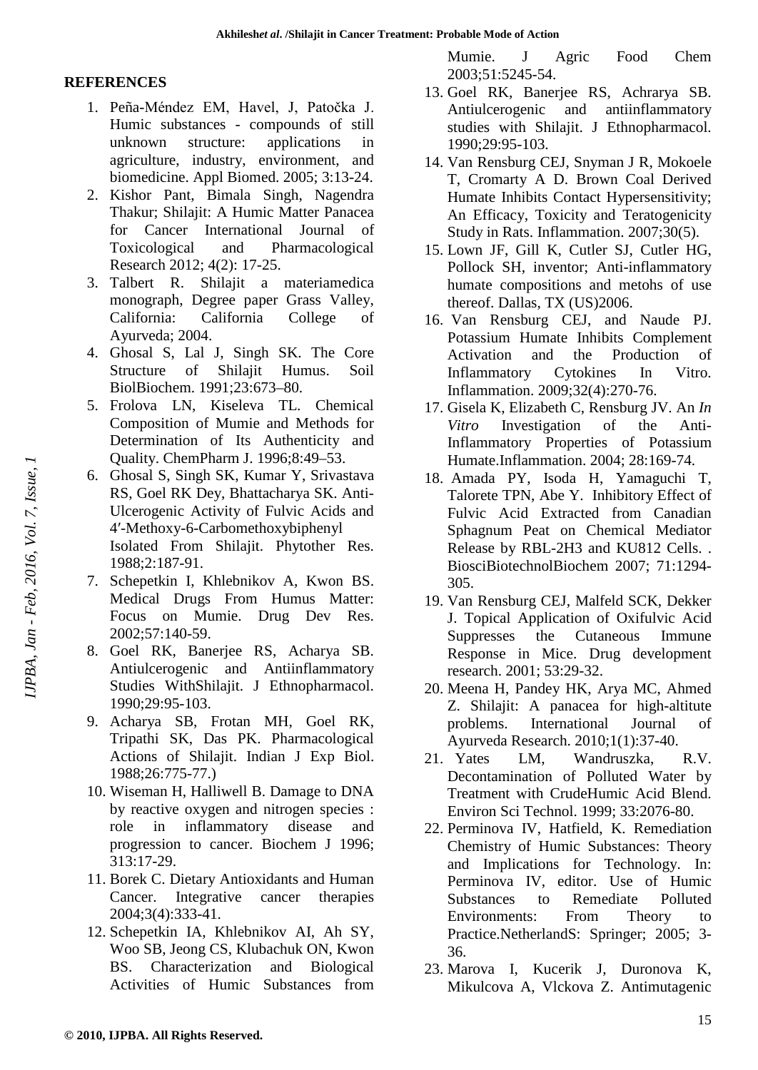#### **REFERENCES**

- 1. Peña-Méndez EM, Havel, J, Patočka J. Humic substances - compounds of still unknown structure: applications in agriculture, industry, environment, and biomedicine. Appl Biomed. 2005; 3:13-24.
- 2. Kishor Pant, Bimala Singh, Nagendra Thakur; Shilajit: A Humic Matter Panacea for Cancer International Journal of Toxicological and Pharmacological Research 2012; 4(2): 17-25.
- 3. Talbert R. Shilajit a materiamedica monograph, Degree paper Grass Valley, California: California College of Ayurveda; 2004.
- 4. Ghosal S, Lal J, Singh SK. The Core Structure of Shilajit Humus. Soil BiolBiochem. 1991;23:673–80.
- 5. Frolova LN, Kiseleva TL. Chemical Composition of Mumie and Methods for Determination of Its Authenticity and Quality. ChemPharm J. 1996;8:49–53.
- 6. Ghosal S, Singh SK, Kumar Y, Srivastava RS, Goel RK Dey, Bhattacharya SK. Anti-Ulcerogenic Activity of Fulvic Acids and 4′-Methoxy-6-Carbomethoxybiphenyl Isolated From Shilajit. Phytother Res. 1988;2:187-91.
- 7. Schepetkin I, Khlebnikov A, Kwon BS. Medical Drugs From Humus Matter: Focus on Mumie. Drug Dev Res. 2002;57:140-59.
- 8. Goel RK, Banerjee RS, Acharya SB. Antiulcerogenic and Antiinflammatory Studies WithShilajit. J Ethnopharmacol. 1990;29:95-103.
- 9. Acharya SB, Frotan MH, Goel RK, Tripathi SK, Das PK. Pharmacological Actions of Shilajit. Indian J Exp Biol. 1988;26:775-77.)
- 10. Wiseman H, Halliwell B. Damage to DNA by reactive oxygen and nitrogen species : role in inflammatory disease and progression to cancer. Biochem J 1996; 313:17-29.
- 11. Borek C. Dietary Antioxidants and Human Cancer. Integrative cancer therapies 2004;3(4):333-41.
- 12. Schepetkin IA, Khlebnikov AI, Ah SY, Woo SB, Jeong CS, Klubachuk ON, Kwon BS. Characterization and Biological Activities of Humic Substances from

Mumie. J Agric Food Chem 2003;51:5245-54.

- 13. Goel RK, Banerjee RS, Achrarya SB. Antiulcerogenic and antiinflammatory studies with Shilajit. J Ethnopharmacol. 1990;29:95-103.
- 14. Van Rensburg CEJ, Snyman J R, Mokoele T, Cromarty A D. Brown Coal Derived Humate Inhibits Contact Hypersensitivity; An Efficacy, Toxicity and Teratogenicity Study in Rats. Inflammation. 2007;30(5).
- 15. Lown JF, Gill K, Cutler SJ, Cutler HG, Pollock SH, inventor; Anti-inflammatory humate compositions and metohs of use thereof. Dallas, TX (US)2006.
- 16. Van Rensburg CEJ, and Naude PJ. Potassium Humate Inhibits Complement Activation and the Production of Inflammatory Cytokines In Vitro. Inflammation. 2009;32(4):270-76.
- 17. Gisela K, Elizabeth C, Rensburg JV. An *In Vitro* Investigation of the Anti-Inflammatory Properties of Potassium Humate.Inflammation. 2004; 28:169-74.
- 18. Amada PY, Isoda H, Yamaguchi T, Talorete TPN, Abe Y. Inhibitory Effect of Fulvic Acid Extracted from Canadian Sphagnum Peat on Chemical Mediator Release by RBL-2H3 and KU812 Cells. . BiosciBiotechnolBiochem 2007; 71:1294- 305.
- 19. Van Rensburg CEJ, Malfeld SCK, Dekker J. Topical Application of Oxifulvic Acid Suppresses the Cutaneous Immune Response in Mice. Drug development research. 2001; 53:29-32.
- 20. Meena H, Pandey HK, Arya MC, Ahmed Z. Shilajit: A panacea for high-altitute problems. International Journal of Ayurveda Research. 2010;1(1):37-40.
- 21. Yates LM, Wandruszka, R.V. Decontamination of Polluted Water by Treatment with CrudeHumic Acid Blend. Environ Sci Technol. 1999; 33:2076-80.
- 22. Perminova IV, Hatfield, K. Remediation Chemistry of Humic Substances: Theory and Implications for Technology. In: Perminova IV, editor. Use of Humic Substances to Remediate Polluted Environments: From Theory to Practice.NetherlandS: Springer; 2005; 3- 36.
- 23. Marova I, Kucerik J, Duronova K, Mikulcova A, Vlckova Z. Antimutagenic